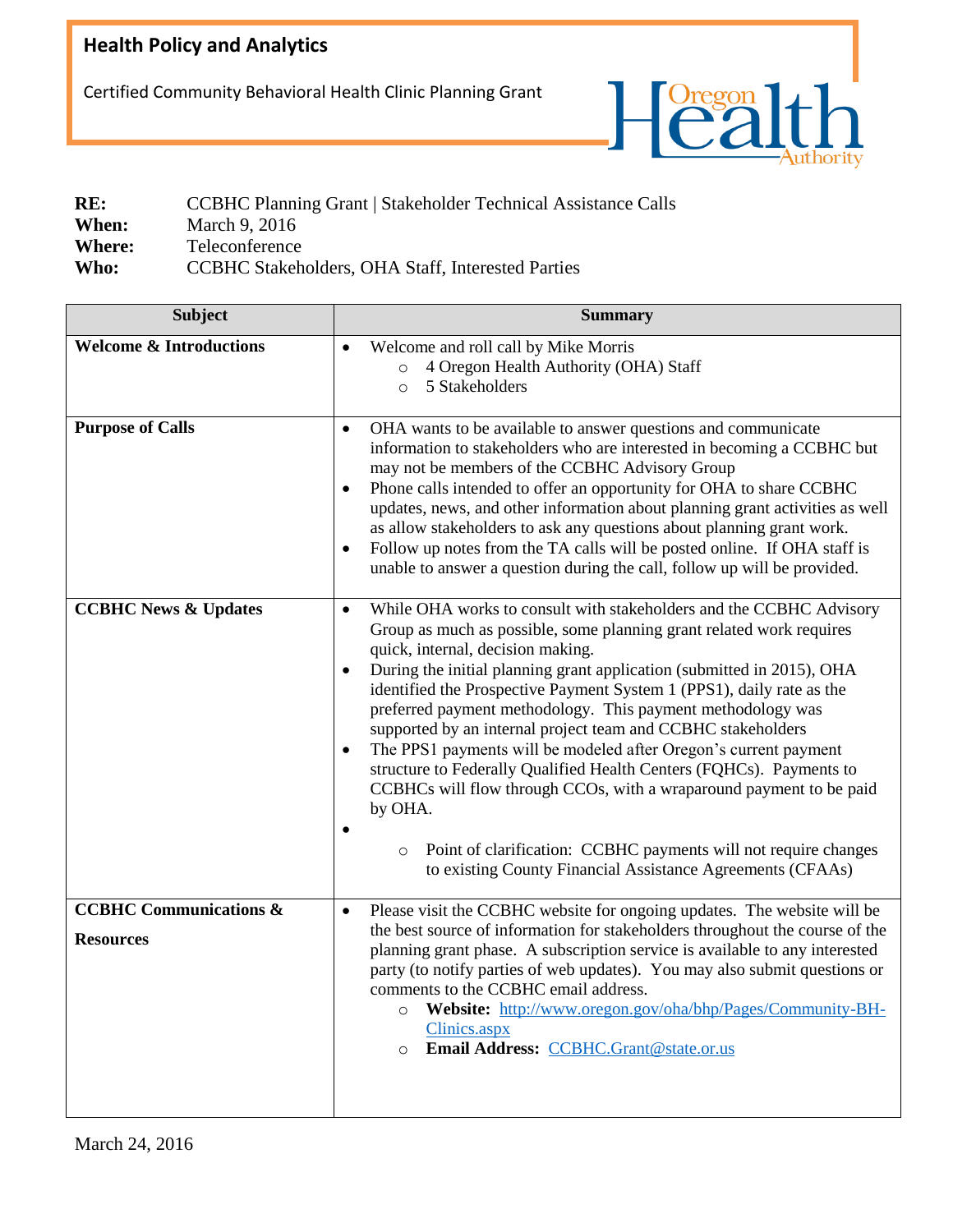## **Health Policy and Analytics**

Certified Community Behavioral Health Clinic Planning Grant



| RE:           | <b>CCBHC Planning Grant   Stakeholder Technical Assistance Calls</b> |  |
|---------------|----------------------------------------------------------------------|--|
| When:         | March 9, 2016                                                        |  |
| <b>Where:</b> | Teleconference                                                       |  |
| Who:          | CCBHC Stakeholders, OHA Staff, Interested Parties                    |  |

| <b>Subject</b>                                        | <b>Summary</b>                                                                                                                                                                                                                                                                                                                                                                                                                                                                                                                                                                                                                                                                                                                                                                                                                                                         |
|-------------------------------------------------------|------------------------------------------------------------------------------------------------------------------------------------------------------------------------------------------------------------------------------------------------------------------------------------------------------------------------------------------------------------------------------------------------------------------------------------------------------------------------------------------------------------------------------------------------------------------------------------------------------------------------------------------------------------------------------------------------------------------------------------------------------------------------------------------------------------------------------------------------------------------------|
| <b>Welcome &amp; Introductions</b>                    | Welcome and roll call by Mike Morris<br>$\bullet$<br>4 Oregon Health Authority (OHA) Staff<br>$\circ$<br>5 Stakeholders<br>$\circ$                                                                                                                                                                                                                                                                                                                                                                                                                                                                                                                                                                                                                                                                                                                                     |
| <b>Purpose of Calls</b>                               | OHA wants to be available to answer questions and communicate<br>$\bullet$<br>information to stakeholders who are interested in becoming a CCBHC but<br>may not be members of the CCBHC Advisory Group<br>Phone calls intended to offer an opportunity for OHA to share CCBHC<br>updates, news, and other information about planning grant activities as well<br>as allow stakeholders to ask any questions about planning grant work.<br>Follow up notes from the TA calls will be posted online. If OHA staff is<br>$\bullet$<br>unable to answer a question during the call, follow up will be provided.                                                                                                                                                                                                                                                            |
| <b>CCBHC News &amp; Updates</b>                       | While OHA works to consult with stakeholders and the CCBHC Advisory<br>$\bullet$<br>Group as much as possible, some planning grant related work requires<br>quick, internal, decision making.<br>During the initial planning grant application (submitted in 2015), OHA<br>identified the Prospective Payment System 1 (PPS1), daily rate as the<br>preferred payment methodology. This payment methodology was<br>supported by an internal project team and CCBHC stakeholders<br>The PPS1 payments will be modeled after Oregon's current payment<br>$\bullet$<br>structure to Federally Qualified Health Centers (FQHCs). Payments to<br>CCBHCs will flow through CCOs, with a wraparound payment to be paid<br>by OHA.<br>Point of clarification: CCBHC payments will not require changes<br>$\circ$<br>to existing County Financial Assistance Agreements (CFAAs) |
| <b>CCBHC Communications &amp;</b><br><b>Resources</b> | Please visit the CCBHC website for ongoing updates. The website will be<br>$\bullet$<br>the best source of information for stakeholders throughout the course of the<br>planning grant phase. A subscription service is available to any interested<br>party (to notify parties of web updates). You may also submit questions or<br>comments to the CCBHC email address.<br>Website: http://www.oregon.gov/oha/bhp/Pages/Community-BH-<br>$\circ$<br>Clinics.aspx<br>Email Address: CCBHC.Grant@state.or.us<br>$\circ$                                                                                                                                                                                                                                                                                                                                                |